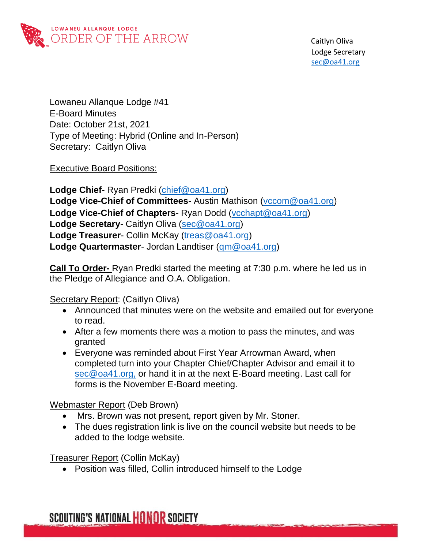

Lowaneu Allanque Lodge #41 E-Board Minutes Date: October 21st, 2021 Type of Meeting: Hybrid (Online and In-Person) Secretary: Caitlyn Oliva

Executive Board Positions:

**Lodge Chief**- Ryan Predki [\(chief@oa41.org\)](mailto:chief@oa41.org) **Lodge Vice-Chief of Committees**- Austin Mathison [\(vccom@oa41.org\)](mailto:vccom@oq41.org) **Lodge Vice-Chief of Chapters**- Ryan Dodd [\(vcchapt@oa41.org\)](mailto:vcchapt@oa41.org) **Lodge Secretary**- Caitlyn Oliva [\(sec@oa41.org\)](mailto:sec@oa41.org) **Lodge Treasurer**- Collin McKay [\(treas@oa41.org\)](mailto:treas@oa41.org) **Lodge Quartermaster**- Jordan Landtiser [\(qm@oa41.org\)](mailto:qm@oa41.org)

**Call To Order-** Ryan Predki started the meeting at 7:30 p.m. where he led us in the Pledge of Allegiance and O.A. Obligation.

Secretary Report: (Caitlyn Oliva)

- Announced that minutes were on the website and emailed out for everyone to read.
- After a few moments there was a motion to pass the minutes, and was granted
- Everyone was reminded about First Year Arrowman Award, when completed turn into your Chapter Chief/Chapter Advisor and email it to [sec@oa41.org,](mailto:sec@oa41.org) or hand it in at the next E-Board meeting. Last call for forms is the November E-Board meeting.

#### Webmaster Report (Deb Brown)

- Mrs. Brown was not present, report given by Mr. Stoner.
- The dues registration link is live on the council website but needs to be added to the lodge website.

Treasurer Report (Collin McKay)

• Position was filled, Collin introduced himself to the Lodge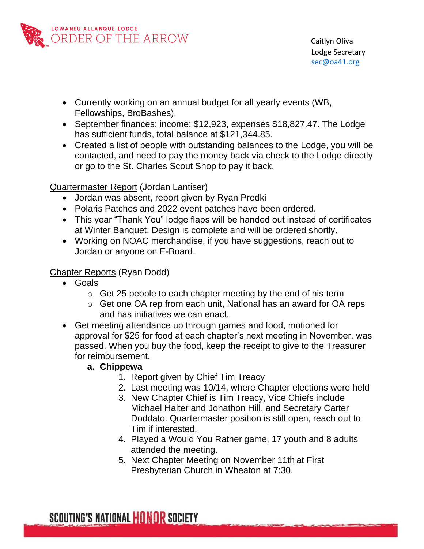

- Currently working on an annual budget for all yearly events (WB, Fellowships, BroBashes).
- September finances: income: \$12,923, expenses \$18,827.47. The Lodge has sufficient funds, total balance at \$121,344.85.
- Created a list of people with outstanding balances to the Lodge, you will be contacted, and need to pay the money back via check to the Lodge directly or go to the St. Charles Scout Shop to pay it back.

Quartermaster Report (Jordan Lantiser)

- Jordan was absent, report given by Ryan Predki
- Polaris Patches and 2022 event patches have been ordered.
- This year "Thank You" lodge flaps will be handed out instead of certificates at Winter Banquet. Design is complete and will be ordered shortly.
- Working on NOAC merchandise, if you have suggestions, reach out to Jordan or anyone on E-Board.

## Chapter Reports (Ryan Dodd)

- Goals
	- $\circ$  Get 25 people to each chapter meeting by the end of his term
	- o Get one OA rep from each unit, National has an award for OA reps and has initiatives we can enact.
- Get meeting attendance up through games and food, motioned for approval for \$25 for food at each chapter's next meeting in November, was passed. When you buy the food, keep the receipt to give to the Treasurer for reimbursement.

## **a. Chippewa**

- 1. Report given by Chief Tim Treacy
- 2. Last meeting was 10/14, where Chapter elections were held
- 3. New Chapter Chief is Tim Treacy, Vice Chiefs include Michael Halter and Jonathon Hill, and Secretary Carter Doddato. Quartermaster position is still open, reach out to Tim if interested.
- 4. Played a Would You Rather game, 17 youth and 8 adults attended the meeting.
- 5. Next Chapter Meeting on November 11th at First Presbyterian Church in Wheaton at 7:30.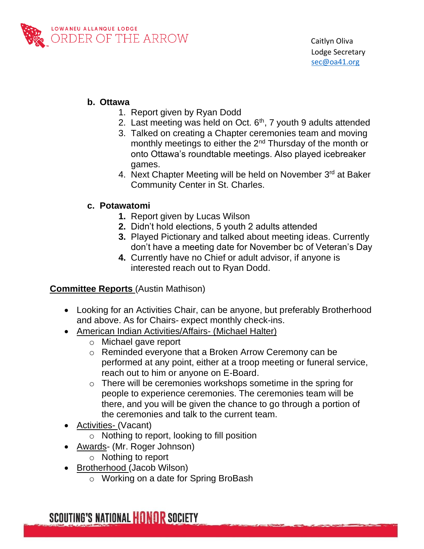

### **b. Ottawa**

- 1. Report given by Ryan Dodd
- 2. Last meeting was held on Oct.  $6<sup>th</sup>$ , 7 youth 9 adults attended
- 3. Talked on creating a Chapter ceremonies team and moving monthly meetings to either the  $2<sup>nd</sup>$  Thursday of the month or onto Ottawa's roundtable meetings. Also played icebreaker games.
- 4. Next Chapter Meeting will be held on November 3<sup>rd</sup> at Baker Community Center in St. Charles.

### **c. Potawatomi**

- **1.** Report given by Lucas Wilson
- **2.** Didn't hold elections, 5 youth 2 adults attended
- **3.** Played Pictionary and talked about meeting ideas. Currently don't have a meeting date for November bc of Veteran's Day
- **4.** Currently have no Chief or adult advisor, if anyone is interested reach out to Ryan Dodd.

**Committee Reports** (Austin Mathison)

- Looking for an Activities Chair, can be anyone, but preferably Brotherhood and above. As for Chairs- expect monthly check-ins.
- American Indian Activities/Affairs- (Michael Halter)
	- o Michael gave report
	- o Reminded everyone that a Broken Arrow Ceremony can be performed at any point, either at a troop meeting or funeral service, reach out to him or anyone on E-Board.
	- o There will be ceremonies workshops sometime in the spring for people to experience ceremonies. The ceremonies team will be there, and you will be given the chance to go through a portion of the ceremonies and talk to the current team.
- Activities- (Vacant)
	- o Nothing to report, looking to fill position
- Awards- (Mr. Roger Johnson)
	- o Nothing to report
- Brotherhood (Jacob Wilson)
	- o Working on a date for Spring BroBash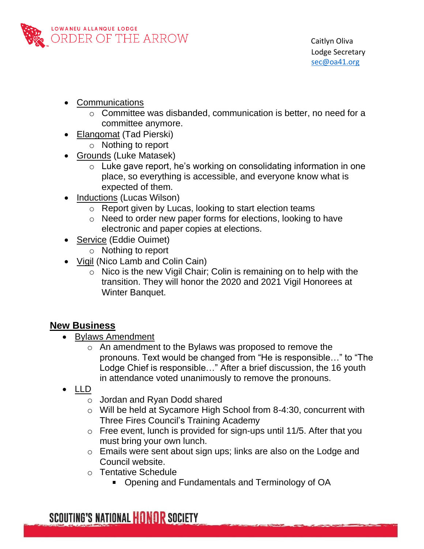

- Communications
	- o Committee was disbanded, communication is better, no need for a committee anymore.
	- Elangomat (Tad Pierski)
		- o Nothing to report
- Grounds (Luke Matasek)
	- $\circ$  Luke gave report, he's working on consolidating information in one place, so everything is accessible, and everyone know what is expected of them.
- Inductions (Lucas Wilson)
	- o Report given by Lucas, looking to start election teams
	- o Need to order new paper forms for elections, looking to have electronic and paper copies at elections.
- Service (Eddie Ouimet)
	- o Nothing to report
- Vigil (Nico Lamb and Colin Cain)
	- $\circ$  Nico is the new Vigil Chair; Colin is remaining on to help with the transition. They will honor the 2020 and 2021 Vigil Honorees at Winter Banquet.

# **New Business**

- Bylaws Amendment
	- o An amendment to the Bylaws was proposed to remove the pronouns. Text would be changed from "He is responsible…" to "The Lodge Chief is responsible…" After a brief discussion, the 16 youth in attendance voted unanimously to remove the pronouns.
- LLD
	- o Jordan and Ryan Dodd shared
	- o Will be held at Sycamore High School from 8-4:30, concurrent with Three Fires Council's Training Academy
	- $\circ$  Free event, lunch is provided for sign-ups until 11/5. After that you must bring your own lunch.
	- o Emails were sent about sign ups; links are also on the Lodge and Council website.
	- o Tentative Schedule
		- Opening and Fundamentals and Terminology of OA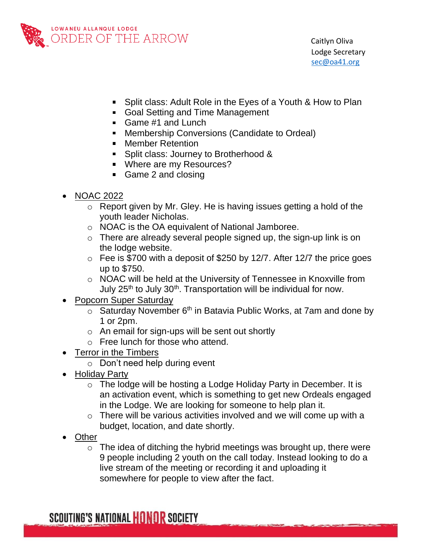

- Split class: Adult Role in the Eyes of a Youth & How to Plan
- Goal Setting and Time Management
- Game #1 and Lunch
- **Membership Conversions (Candidate to Ordeal)**
- **Nember Retention**
- Split class: Journey to Brotherhood &
- Where are my Resources?
- Game 2 and closing
- NOAC 2022
	- o Report given by Mr. Gley. He is having issues getting a hold of the youth leader Nicholas.
	- o NOAC is the OA equivalent of National Jamboree.
	- $\circ$  There are already several people signed up, the sign-up link is on the lodge website.
	- $\circ$  Fee is \$700 with a deposit of \$250 by 12/7. After 12/7 the price goes up to \$750.
	- o NOAC will be held at the University of Tennessee in Knoxville from July  $25<sup>th</sup>$  to July  $30<sup>th</sup>$ . Transportation will be individual for now.
- Popcorn Super Saturday
	- $\circ$  Saturday November 6<sup>th</sup> in Batavia Public Works, at 7am and done by 1 or 2pm.
	- $\circ$  An email for sign-ups will be sent out shortly
	- o Free lunch for those who attend.
- Terror in the Timbers
	- o Don't need help during event
- Holiday Party
	- o The lodge will be hosting a Lodge Holiday Party in December. It is an activation event, which is something to get new Ordeals engaged in the Lodge. We are looking for someone to help plan it.
	- $\circ$  There will be various activities involved and we will come up with a budget, location, and date shortly.
- Other
	- $\circ$  The idea of ditching the hybrid meetings was brought up, there were 9 people including 2 youth on the call today. Instead looking to do a live stream of the meeting or recording it and uploading it somewhere for people to view after the fact.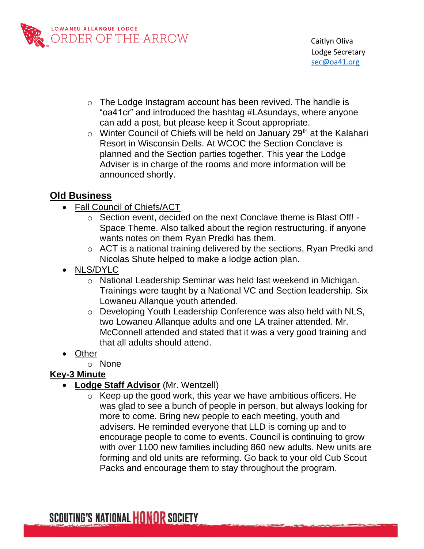

- o The Lodge Instagram account has been revived. The handle is "oa41cr" and introduced the hashtag #LAsundays, where anyone can add a post, but please keep it Scout appropriate.
- $\circ$  Winter Council of Chiefs will be held on January 29<sup>th</sup> at the Kalahari Resort in Wisconsin Dells. At WCOC the Section Conclave is planned and the Section parties together. This year the Lodge Adviser is in charge of the rooms and more information will be announced shortly.

## **Old Business**

- Fall Council of Chiefs/ACT
	- o Section event, decided on the next Conclave theme is Blast Off! Space Theme. Also talked about the region restructuring, if anyone wants notes on them Ryan Predki has them.
	- o ACT is a national training delivered by the sections, Ryan Predki and Nicolas Shute helped to make a lodge action plan.
- NLS/DYLC
	- o National Leadership Seminar was held last weekend in Michigan. Trainings were taught by a National VC and Section leadership. Six Lowaneu Allanque youth attended.
	- o Developing Youth Leadership Conference was also held with NLS, two Lowaneu Allanque adults and one LA trainer attended. Mr. McConnell attended and stated that it was a very good training and that all adults should attend.
- Other
	- o None

## **Key-3 Minute**

- **Lodge Staff Advisor** (Mr. Wentzell)
	- $\circ$  Keep up the good work, this year we have ambitious officers. He was glad to see a bunch of people in person, but always looking for more to come. Bring new people to each meeting, youth and advisers. He reminded everyone that LLD is coming up and to encourage people to come to events. Council is continuing to grow with over 1100 new families including 860 new adults. New units are forming and old units are reforming. Go back to your old Cub Scout Packs and encourage them to stay throughout the program.